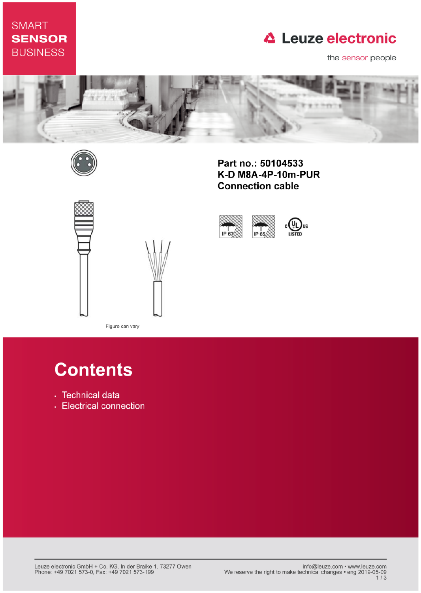# **SMART SENSOR BUSINESS**

# **△ Leuze electronic**

the sensor people



IP 67



Part no.: 50104533 K-D M8A-4P-10m-PUR **Connection cable** 

 $IP$ <sub>65</sub>



Figure can vary

# **Contents**

- · Technical data
- Electrical connection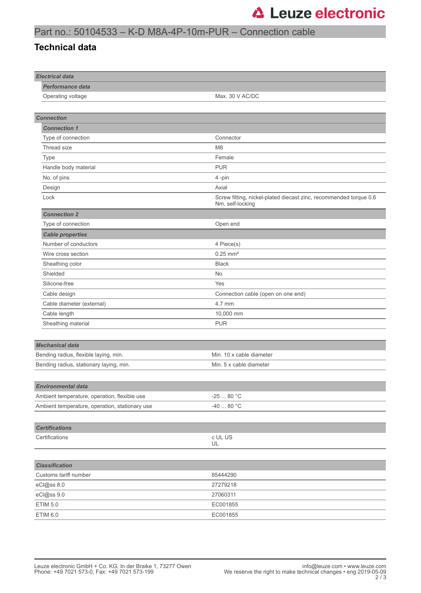## Part no.: 50104533 – K-D M8A-4P-10m-PUR – Connection cable

#### **Technical data**

| <b>Electrical data</b>                         |                                                                                       |
|------------------------------------------------|---------------------------------------------------------------------------------------|
| Performance data                               |                                                                                       |
| Operating voltage                              | Max. 30 V AC/DC                                                                       |
|                                                |                                                                                       |
| <b>Connection</b>                              |                                                                                       |
| <b>Connection 1</b>                            |                                                                                       |
| Type of connection                             | Connector                                                                             |
| Thread size                                    | M <sub>8</sub>                                                                        |
| Type                                           | Female                                                                                |
| Handle body material                           | <b>PUR</b>                                                                            |
| No. of pins                                    | 4-pin                                                                                 |
| Design                                         | Axial                                                                                 |
| Lock                                           | Screw fitting, nickel-plated diecast zinc, recommended torque 0.6<br>Nm, self-locking |
| <b>Connection 2</b>                            |                                                                                       |
| Type of connection                             | Open end                                                                              |
| <b>Cable properties</b>                        |                                                                                       |
| Number of conductors                           | 4 Piece(s)                                                                            |
| Wire cross section                             | $0.25$ mm <sup>2</sup>                                                                |
| Sheathing color                                | <b>Black</b>                                                                          |
| Shielded                                       | No                                                                                    |
| Silicone-free                                  | Yes                                                                                   |
| Cable design                                   | Connection cable (open on one end)                                                    |
| Cable diameter (external)                      | 4.7 mm                                                                                |
| Cable length                                   | 10,000 mm                                                                             |
| Sheathing material                             | <b>PUR</b>                                                                            |
|                                                |                                                                                       |
| <b>Mechanical data</b>                         |                                                                                       |
| Bending radius, flexible laying, min.          | Min. 10 x cable diameter                                                              |
| Bending radius, stationary laying, min.        | Min. 5 x cable diameter                                                               |
|                                                |                                                                                       |
| Environmental data                             |                                                                                       |
| Ambient temperature, operation, flexible use   | -25 $\ldots$ 80 $^{\circ}{\rm C}$                                                     |
| Ambient temperature, operation, stationary use | -40 $\dots$ 80 °C                                                                     |
|                                                |                                                                                       |
| <b>Certifications</b>                          |                                                                                       |
| Certifications                                 | c UL US                                                                               |
|                                                | UL                                                                                    |
|                                                |                                                                                       |
| <b>Classification</b>                          |                                                                                       |
| Customs tariff number                          | 85444290                                                                              |
| eCl@ss 8.0                                     | 27279218                                                                              |
| eCl@ss 9.0                                     | 27060311                                                                              |
| <b>ETIM 5.0</b>                                | EC001855                                                                              |
| ETIM 6.0                                       | EC001855                                                                              |